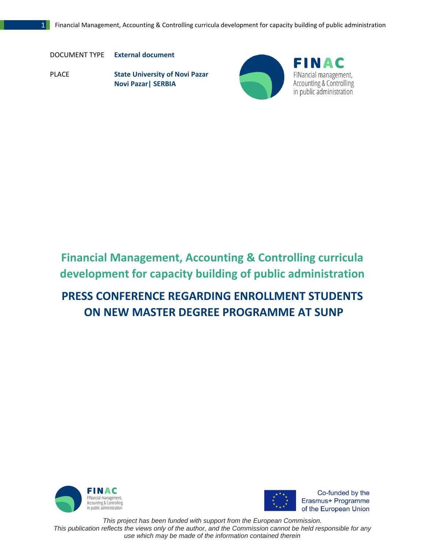DOCUMENT TYPE **External document**

PLACE **State University of Novi Pazar Novi Pazar| SERBIA**





## **Financial Management, Accounting & Controlling curricula development for capacity building of public administration**

## **PRESS CONFERENCE REGARDING ENROLLMENT STUDENTS ON NEW MASTER DEGREE PROGRAMME AT SUNP**





Co-funded by the Erasmus+ Programme of the European Union

 *This project has been funded with support from the European Commission. This publication reflects the views only of the author, and the Commission cannot be held responsible for any use which may be made of the information contained therein*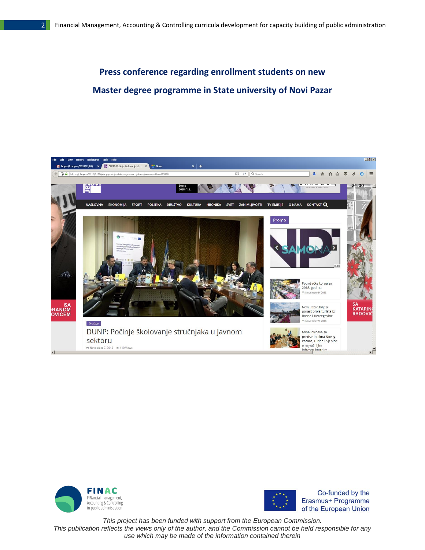## **Press conference regarding enrollment students on new Master degree programme in State university of Novi Pazar**







Co-funded by the Erasmus+ Programme of the European Union

*This project has been funded with support from the European Commission.*

*This publication reflects the views only of the author, and the Commission cannot be held responsible for any use which may be made of the information contained therein*